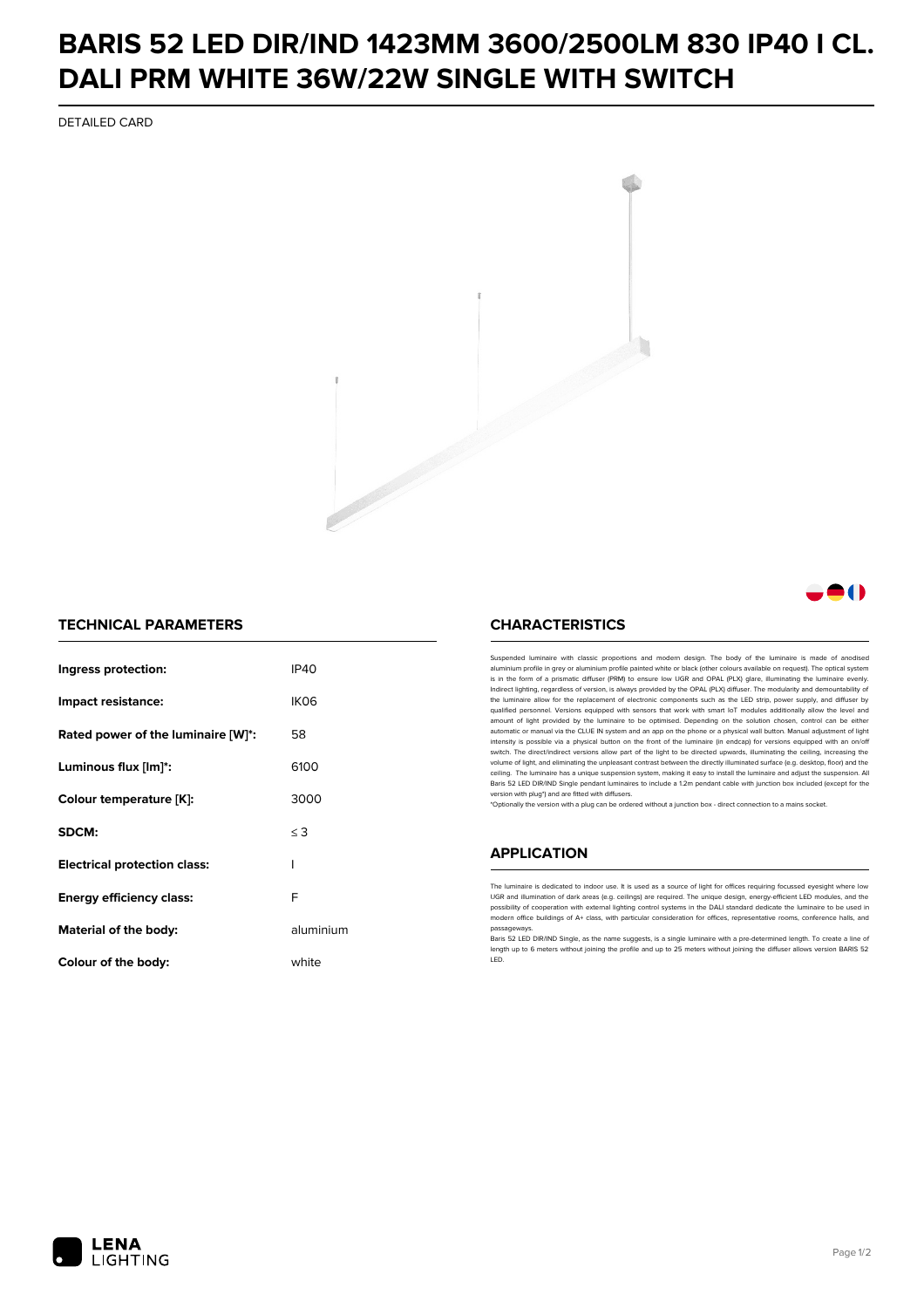## **BARIS 52 LED DIR/IND 1423MM 3600/2500LM 830 IP40 I CL. DALI PRM WHITE 36W/22W SINGLE WITH SWITCH**

DETAILED CARD



### **A**O

#### **TECHNICAL PARAMETERS**

| Ingress protection:                 | <b>IP40</b>      |
|-------------------------------------|------------------|
| Impact resistance:                  | IK <sub>06</sub> |
| Rated power of the luminaire [W]*:  | 58               |
| Luminous flux [lm]*:                | 6100             |
| Colour temperature [K]:             | 3000             |
| SDCM:                               | $\leq$ 3         |
| <b>Electrical protection class:</b> | ı                |
| Energy efficiency class:            | F                |
| Material of the body:               | aluminium        |
| Colour of the body:                 | white            |

#### **CHARACTERISTICS**

Suspended luminaire with classic proportions and modern design. The body of the luminaire is made of an aluminium profile in grey or aluminium profile painted white or black (other colours available on request). The optical system is in the form of a prismatic diffuser (PRM) to ensure low UGR and OPAL (PLX) glare, illuminating the luminaire evenly.<br>Indirect lighting, regardless of version, is always provided by the OPAL (PLX) diffuser. The modularit the luminaire allow for the replacement of electronic components such as the LED strip, power supply, and diffuser by qualified personnel. Versions equipped with sensors that work with smart IoT modules additionally allow the level and amount of light provided by the luminaire to be optimised. Depending on the solution chosen, control can be either automatic or manual via the CLUE IN system and an app on the phone or a physical wall button. Manual adjustment of light<br>intensity is possible via a physical button on the front of the luminaire (in endcap) for versions eq switch. The direct/indirect versions allow part of the light to be directed upwards, illuminating the ceiling, increasing the volume of light, and eliminating the unpleasant contrast between the directly illuminated surface (e.g. desktop, floor) and the ceiling. The luminaire has a unique suspension system, making it easy to install the luminaire and adjust the suspension. All Baris 52 LED DIR/IND Single pendant Iuminaires to include a 1.2m pendant cable with junction box included (except for the<br>version with plug\*) and are fitted with diffusers.

\*Optionally the version with a plug can be ordered without a junction box - direct connection to a mains socket.

#### **APPLICATION**

The luminaire is dedicated to indoor use. It is used as a source of light for offices requiring focussed eyesight where low UGR and illumination of dark areas (e.g. ceilings) are required. The unique design, energy-efficient LED modules, and the<br>possibility of cooperation with external lighting control systems in the DALI standard dedicate the modern office buildings of A+ class, with particular consideration for offices, representative rooms, conference halls, and passage

Baris 52 LED DIR/IND Single, as the name suggests, is a single luminaire with a pre-determined length. To create a line of length up to 6 meters without joining the profile and up to 25 meters without joining the diffuser allows version BARIS 52 LED.